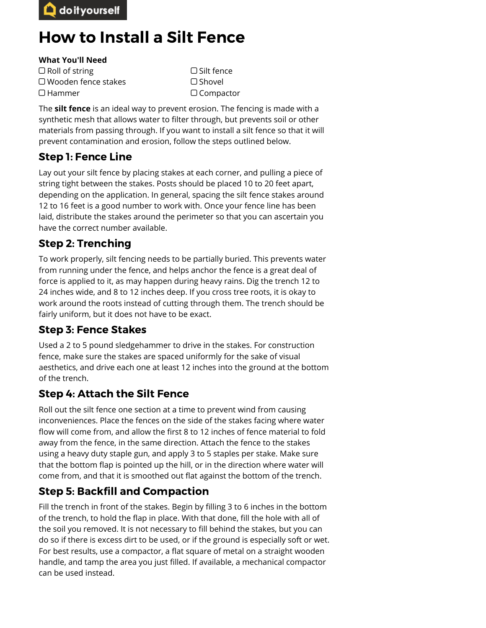

## How to Install a Silt Fence

#### What You'll Need

| $\Box$ Roll of string      |  |
|----------------------------|--|
| $\Box$ Wooden fence stakes |  |
| $\Box$ Hammer              |  |

 $\Box$  Silt fence  $\Box$  Shovel  $\Box$  Compactor

The silt fence is an ideal way to prevent erosion. The fencing is made with a synthetic mesh that allows water to filter through, but prevents soil or other materials from passing through. If you want to install a silt fence so that it will prevent contamination and erosion, follow the steps outlined below.

## Step 1: Fence Line

Lay out your silt fence by placing stakes at each corner, and pulling a piece of string tight between the stakes. Posts should be placed 10 to 20 feet apart, depending on the application. In general, spacing the silt fence stakes around 12 to 16 feet is a good number to work with. Once your fence line has been laid, distribute the stakes around the perimeter so that you can ascertain you have the correct number available.

### Step 2: Trenching

To work properly, silt fencing needs to be partially buried. This prevents water from running under the fence, and helps anchor the fence is a great deal of force is applied to it, as may happen during heavy rains. Dig the trench 12 to 24 inches wide, and 8 to 12 inches deep. If you cross tree roots, it is okay to work around the roots instead of cutting through them. The trench should be fairly uniform, but it does not have to be exact.

### Step 3: Fence Stakes

Used a 2 to 5 pound sledgehammer to drive in the stakes. For construction fence, make sure the stakes are spaced uniformly for the sake of visual aesthetics, and drive each one at least 12 inches into the ground at the bottom of the trench.

### Step 4: Attach the Silt Fence

Roll out the silt fence one section at a time to prevent wind from causing inconveniences. Place the fences on the side of the stakes facing where water flow will come from, and allow the first 8 to 12 inches of fence material to fold away from the fence, in the same direction. Attach the fence to the stakes using a heavy duty staple gun, and apply 3 to 5 staples per stake. Make sure that the bottom flap is pointed up the hill, or in the direction where water will come from, and that it is smoothed out flat against the bottom of the trench.

### Step 5: Backfill and Compaction

Fill the trench in front of the stakes. Begin by filling 3 to 6 inches in the bottom of the trench, to hold the flap in place. With that done, fill the hole with all of the soil you removed. It is not necessary to fill behind the stakes, but you can do so if there is excess dirt to be used, or if the ground is especially soft or wet. For best results, use a compactor, a flat square of metal on a straight wooden handle, and tamp the area you just filled. If available, a mechanical compactor can be used instead.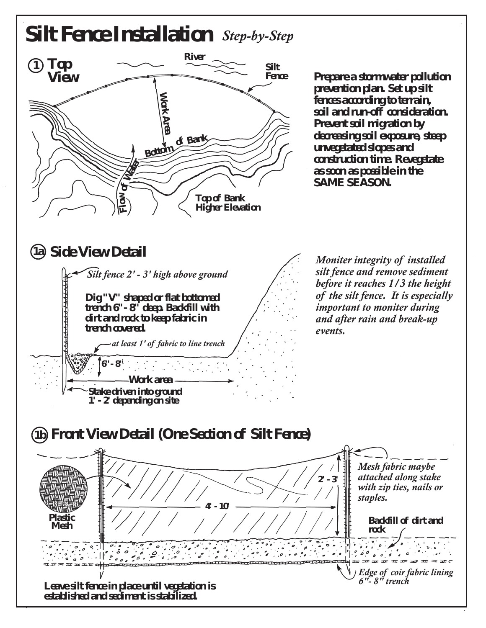# *Silt Fence Installation Step-by-Step*



*Stake driven into ground 1' - 2' depending on site*

*View Prepare a stormwater pollution prevention plan. Set up silt fences according to terrain, soil and run-off consideration. Prevent soil migration by decreasing soil exposure, steep unvegetated slopes and construction time. Revegetate as soon as possible in the SAME SEASON.*

*Moniter integrity of installed silt fence and remove sediment before it reaches 1/3 the height of the silt fence. It is especially important to moniter during and after rain and break-up events.*